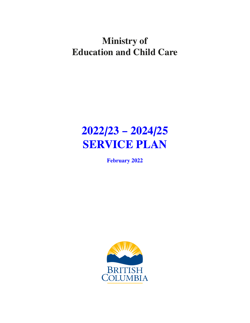## **Ministry of Education and Child Care**

# **2022/23 – 2024/25 SERVICE PLAN**

**February 2022**

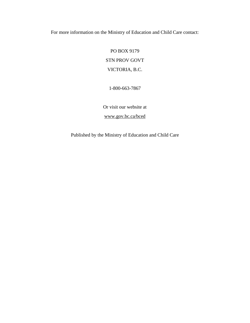For more information on the Ministry of Education and Child Care contact:

PO BOX 9179 STN PROV GOVT VICTORIA, B.C.

1-800-663-7867

Or visit our website at

[www.gov.bc.ca/bced](http://www.gov.bc.ca/bced)

Published by the Ministry of Education and Child Care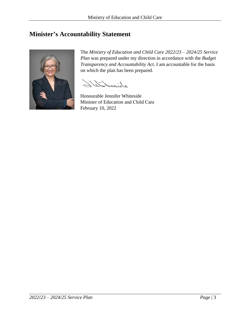## <span id="page-2-0"></span>**Minister's Accountability Statement**



The *Ministry of Education and Child Care 2022/23 – 2024/25 Service Plan* was prepared under my direction in accordance with the *Budget Transparency and Accountability Act*. I am accountable for the basis on which the plan has been prepared.

Sister Site

Honourable Jennifer Whiteside Minister of Education and Child Care February 10, 2022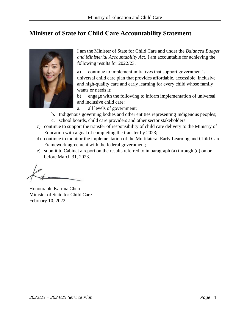## <span id="page-3-0"></span>**Minister of State for Child Care Accountability Statement**



I am the Minister of State for Child Care and under the *Balanced Budget and Ministerial Accountability Act*, I am accountable for achieving the following results for 2022/23:

a) continue to implement initiatives that support government's universal child care plan that provides affordable, accessible, inclusive and high-quality care and early learning for every child whose family wants or needs it;

b) engage with the following to inform implementation of universal and inclusive child care:

- a. all levels of government;
- b. Indigenous governing bodies and other entities representing Indigenous peoples; c. school boards, child care providers and other sector stakeholders
- c) continue to support the transfer of responsibility of child care delivery to the Ministry of Education with a goal of completing the transfer by 2023;
- d) continue to monitor the implementation of the Multilateral Early Learning and Child Care Framework agreement with the federal government;
- e) submit to Cabinet a report on the results referred to in paragraph (a) through (d) on or before March 31, 2023.

Honourable Katrina Chen Minister of State for Child Care February 10, 2022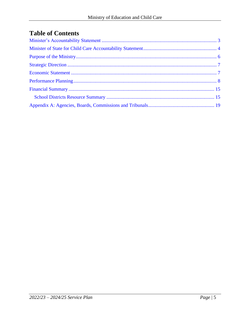## **Table of Contents**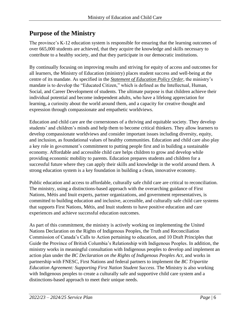## <span id="page-5-0"></span>**Purpose of the Ministry**

The province's K-12 education system is responsible for ensuring that the learning outcomes of over 665,000 students are achieved, that they acquire the knowledge and skills necessary to contribute to a healthy society, and that they participate in our democratic institutions.

By continually focusing on improving results and striving for equity of access and outcomes for all learners, the Ministry of Education (ministry) places student success and well-being at the centre of its mandate. As specified in the *[Statement of Education Policy Order](https://www2.gov.bc.ca/assets/gov/education/administration/legislation-policy/legislation/schoollaw/d/oic_128089.pdf)*, the ministry's mandate is to develop the "Educated Citizen," which is defined as the Intellectual, Human, Social, and Career Development of students. The ultimate purpose is that children achieve their individual potential and become independent adults, who have a lifelong appreciation for learning, a curiosity about the world around them, and a capacity for creative thought and expression through compassionate and empathetic worldviews.

Education and child care are the cornerstones of a thriving and equitable society. They develop students' and children's minds and help them to become critical thinkers. They allow learners to develop compassionate worldviews and consider important issues including diversity, equity, and inclusion, as foundational values of healthy communities. Education and child care also play a key role in government's commitment to putting people first and in building a sustainable economy. Affordable and accessible child care helps children to grow and develop while providing economic mobility to parents. Education prepares students and children for a successful future where they can apply their skills and knowledge in the world around them. A strong education system is a key foundation in building a clean, innovative economy.

Public education and access to affordable, culturally safe child care are critical to reconciliation. The ministry, using a distinctions-based approach with the overarching guidance of First Nations, Métis and Inuit experts, partner organizations, and government representatives, is committed to building education and inclusive, accessible, and culturally safe child care systems that supports First Nations, Métis, and Inuit students to have positive education and care experiences and achieve successful education outcomes.

As part of this commitment, the ministry is actively working on implementing the United Nations Declaration on the Rights of Indigenous Peoples, the Truth and Reconciliation Commission of Canada's Calls to Action pertaining to education, and 10 Draft Principles that Guide the Province of British Columbia's Relationship with Indigenous Peoples. In addition, the ministry works in meaningful consultation with Indigenous peoples to develop and implement an action plan under the *BC Declaration on the Rights of Indigenous Peoples Act*, and works in partnership with FNESC, First Nations and federal partners to implement the *BC Tripartite Education Agreement: Supporting First Nation Student Success*. The Ministry is also working with Indigenous peoples to create a culturally safe and supportive child care system and a distinctions-based approach to meet their unique needs.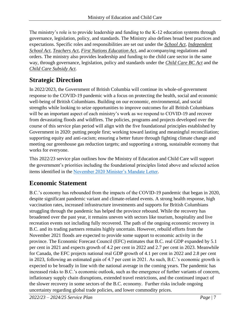The ministry's role is to provide leadership and funding to the K-12 education systems through governance, legislation, policy, and standards. The Ministry also defines broad best practices and expectations. Specific roles and responsibilities are set out under the *[School Act](http://www.bclaws.ca/civix/document/id/complete/statreg/96412_00)*, *[Independent](http://www.bclaws.ca/civix/document/id/complete/statreg/96216_01)  [School Act](http://www.bclaws.ca/civix/document/id/complete/statreg/96216_01)*, *[Teachers Act](http://www.bclaws.ca/EPLibraries/bclaws_new/document/ID/freeside/00_11019_01)*, *[First Nations Education Act](http://www.bclaws.ca/Recon/document/ID/freeside/00_07040_01)*, and accompanying regulations and orders. The ministry also provides leadership and funding to the child care sector in the same way, through governance, legislation, policy and standards under the *Child Care BC Act* and the *Child Care Subsidy Act*.

## <span id="page-6-0"></span>**Strategic Direction**

In 2022/2023, the Government of British Columbia will continue its whole-of-government response to the COVID-19 pandemic with a focus on protecting the health, social and economic well-being of British Columbians. Building on our economic, environmental, and social strengths while looking to seize opportunities to improve outcomes for all British Columbians will be an important aspect of each ministry's work as we respond to COVID-19 and recover from devastating floods and wildfires. The policies, programs and projects developed over the course of this service plan period will align with the five foundational principles established by Government in 2020: putting people first; working toward lasting and meaningful reconciliation; supporting equity and anti-racism; ensuring a better future through fighting climate change and meeting our greenhouse gas reduction targets; and supporting a strong, sustainable economy that works for everyone.

This 2022/23 service plan outlines how the Ministry of Education and Child Care will support the government's priorities including the foundational principles listed above and selected action items identified in the [November 2020 Minister's Mandate Letter.](https://news.gov.bc.ca/files/EDUC-Whiteside-mandate.pdf)

## <span id="page-6-1"></span>**Economic Statement**

B.C.'s economy has rebounded from the impacts of the COVID-19 pandemic that began in 2020, despite significant pandemic variant and climate-related events. A strong health response, high vaccination rates, increased infrastructure investments and supports for British Columbians struggling through the pandemic has helped the province rebound. While the recovery has broadened over the past year, it remains uneven with sectors like tourism, hospitality and live recreation events not including fully recovered. The path of the ongoing economic recovery in B.C. and its trading partners remains highly uncertain. However, rebuild efforts from the November 2021 floods are expected to provide some support to economic activity in the province. The Economic Forecast Council (EFC) estimates that B.C. real GDP expanded by 5.1 per cent in 2021 and expects growth of 4.2 per cent in 2022 and 2.7 per cent in 2023. Meanwhile for Canada, the EFC projects national real GDP growth of 4.1 per cent in 2022 and 2.8 per cent in 2023, following an estimated gain of 4.7 per cent in 2021. As such, B.C.'s economic growth is expected to be broadly in line with the national average in the coming years. The pandemic has increased risks to B.C.'s economic outlook, such as the emergence of further variants of concern, inflationary supply chain disruptions, extended travel restrictions, and the continued impact of the slower recovery in some sectors of the B.C. economy. Further risks include ongoing uncertainty regarding global trade policies, and lower commodity prices.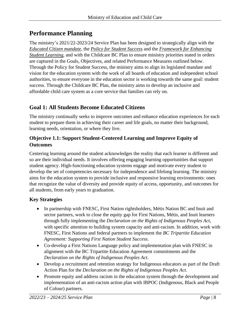## <span id="page-7-0"></span>**Performance Planning**

The ministry's 2021/22-2023/24 Service Plan has been designed to strategically align with the *[Educated Citizen mandate](https://www2.gov.bc.ca/assets/gov/education/administration/legislation-policy/legislation/schoollaw/d/oic_128089.pdf)*, the *[Policy for Student Success](https://www2.gov.bc.ca/gov/content/education-training/k-12/administration/program-management/vision-for-student-success)* and the *[Framework for Enhancing](https://www2.gov.bc.ca/assets/gov/education/administration/legislation-policy/legislation/schoollaw/e/m302-20.pdf)  [Student Learning](https://www2.gov.bc.ca/assets/gov/education/administration/legislation-policy/legislation/schoollaw/e/m302-20.pdf)*, and with the Childcare BC Plan to ensure ministry priorities stated in orders are captured in the Goals, Objectives, and related Performance Measures outlined below. Through the Policy for Student Success, the ministry aims to align its legislated mandate and vision for the education system with the work of all boards of education and independent school authorities, to ensure everyone in the education sector is working towards the same goal: student success. Through the Childcare BC Plan, the ministry aims to develop an inclusive and affordable child care system as a core service that families can rely on.

#### **Goal 1: All Students Become Educated Citizens**

The ministry continually seeks to improve outcomes and enhance education experiences for each student to prepare them in achieving their career and life goals, no matter their background, learning needs, orientation, or where they live.

#### **Objective 1.1: Support Student-Centered Learning and Improve Equity of Outcomes**

Centering learning around the student acknowledges the reality that each learner is different and so are their individual needs. It involves offering engaging learning opportunities that support student agency. High-functioning education systems engage and motivate every student to develop the set of competencies necessary for independence and lifelong learning. The ministry aims for the education system to provide inclusive and responsive learning environments: ones that recognize the value of diversity and provide equity of access, opportunity, and outcomes for all students, from early years to graduation.

#### **Key Strategies**

- In partnership with FNESC, First Nation rightsholders, Métis Nation BC and Inuit and sector partners, work to close the equity gap for First Nations, Métis, and Inuit learners through fully implementing the *Declaration on the Rights of Indigenous Peoples Act*, with specific attention to building system capacity and anti-racism. In addition, work with FNESC, First Nations and federal partners to implement the *BC Tripartite Education Agreement: Supporting First Nation Student Success*.
- Co-develop a First Nations Language policy and implementation plan with FNESC in alignment with the BC Tripartite Education Agreement commitments and the *Declaration on the Rights of Indigenous Peoples Act*.
- Develop a recruitment and retention strategy for Indigenous educators as part of the Draft Action Plan for the *Declaration on the Rights of Indigenous Peoples Act*.
- Promote equity and address racism in the education system through the development and implementation of an anti-racism action plan with IBPOC (Indigenous, Black and People of Colour) partners.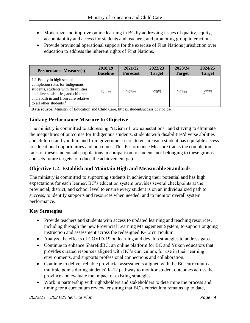- Modernize and improve online learning in BC by addressing issues of quality, equity, accountability and access for students and teachers, and promoting group interactions.
- Provide provincial operational support for the exercise of First Nations jurisdiction over education to address the inherent rights of First Nations.

| <b>Performance Measure(s)</b>                                                                                                                                                                                    | 2018/19         | 2021/22         | 2022/23       | 2023/24       | 2024/25       |
|------------------------------------------------------------------------------------------------------------------------------------------------------------------------------------------------------------------|-----------------|-----------------|---------------|---------------|---------------|
|                                                                                                                                                                                                                  | <b>Baseline</b> | <b>Forecast</b> | <b>Target</b> | <b>Target</b> | <b>Target</b> |
| 1.1 Equity in high school<br>completion rates for Indigenous<br>students, students with disabilities<br>and diverse abilities, and children<br>and youth in and from care relative<br>to all other students. $1$ | 72.4%           | $>75\%$         | $>75\%$       | $>76\%$       | $>77\%$       |

<sup>1</sup> Data source: Ministry of Education and Child Care,<https://studentsuccess.gov.bc.ca/>

#### **Linking Performance Measure to Objective**

The ministry is committed to addressing "racism of low expectations" and striving to eliminate the inequalities of outcomes for Indigenous students, students with disabilities/diverse abilities and children and youth in and from government care, to ensure each student has equitable access to educational opportunities and outcomes. This Performance Measure tracks the completion rates of these student sub-populations in comparison to students not belonging to these groups and sets future targets to reduce the achievement gap.

#### **Objective 1.2: Establish and Maintain High and Measurable Standards**

The ministry is committed to supporting students in achieving their potential and has high expectations for each learner. BC's education system provides several checkpoints at the provincial, district, and school level to ensure every student is on an individualized path to success, to identify supports and resources when needed, and to monitor overall system performance.

#### **Key Strategies**

- Provide teachers and students with access to updated learning and teaching resources, including through the new Provincial Learning Management System, to support ongoing instruction and assessment across the redesigned K-12 curriculum.
- Analyze the effects of COVID-19 on learning and develop strategies to address gaps.
- Continue to enhance ShareEdBC, an online platform for BC and Yukon educators that provides curated resources aligned with BC's curriculum, for use in their learning environments, and supports professional connections and collaboration.
- Continue to deliver reliable provincial assessments aligned with the BC curriculum at multiple points during students' K-12 pathway to monitor student outcomes across the province and evaluate the impact of existing strategies.
- Work in partnership with rightsholders and stakeholders to determine the process and timing for a curriculum review, ensuring that BC's curriculum remains up to date,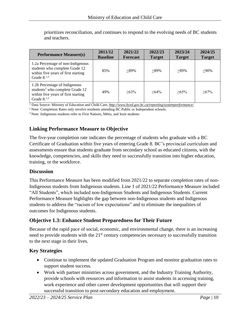| <b>Performance Measure(s)</b>                                                                                                          | 2011/12<br><b>Baseline</b> | 2021/22<br><b>Forecast</b> | 2022/23<br><b>Target</b> | 2023/24<br><b>Target</b> | 2024/25<br><b>Target</b> |
|----------------------------------------------------------------------------------------------------------------------------------------|----------------------------|----------------------------|--------------------------|--------------------------|--------------------------|
| 1.2a Percentage of non-Indigenous<br>students who complete Grade 12<br>within five years of first starting<br>Grade $8^{1,2}$          | 85%                        | $>89\%$                    | $>89\%$                  | $>89\%$                  | $>90\%$                  |
| 1.2b Percentage of Indigenous<br>students <sup>3</sup> who complete Grade 12<br>within five years of first starting<br>Grade $8^{1,2}$ | 49%                        | $>63\%$                    | $>64\%$                  | $>65\%$                  | $>67\%$                  |

prioritizes reconciliation, and continues to respond to the evolving needs of BC students and teachers.

<sup>1</sup> Data Source: Ministry of Education and Child Care, *<http://www.bced.gov.bc.ca/reporting/systemperformance/>*

<sup>2</sup> Note: Completion Rates only involve residents attending BC Public or Independent schools.

<sup>3</sup> Note: Indigenous students refer to First Nations, Métis, and Inuit students

#### **Linking Performance Measure to Objective**

The five-year completion rate indicates the percentage of students who graduate with a BC Certificate of Graduation within five years of entering Grade 8. BC's provincial curriculum and assessments ensure that students graduate from secondary school as educated citizens, with the knowledge, competencies, and skills they need to successfully transition into higher education, training, or the workforce.

#### **Discussion**

This Performance Measure has been modified from 2021/22 to separate completion rates of non-Indigenous students from Indigenous students. Line 1 of 2021/22 Performance Measure included "All Students", which included non-Indigenous Students and Indigenous Students. Current Performance Measure highlights the gap between non-Indigenous students and Indigenous students to address the "racism of low expectations" and to eliminate the inequalities of outcomes for Indigenous students.

#### **Objective 1.3: Enhance Student Preparedness for Their Future**

Because of the rapid pace of social, economic, and environmental change, there is an increasing need to provide students with the 21<sup>st</sup> century competencies necessary to successfully transition to the next stage in their lives.

#### **Key Strategies**

- Continue to implement the updated Graduation Program and monitor graduation rates to support student success.
- Work with partner ministries across government, and the Industry Training Authority, provide schools with resources and information to assist students in accessing training, work experience and other career development opportunities that will support their successful transition to post-secondary education and employment.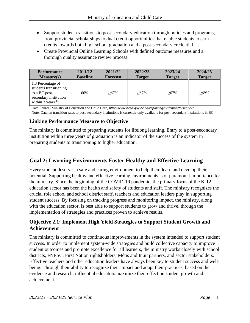- Support student transitions to post-secondary education through policies and programs, from provincial scholarships to dual credit opportunities that enable students to earn credits towards both high school graduation and a post-secondary credential.......
- Create Provincial Online Learning Schools with defined outcome measures and a thorough quality assurance review process.

| <b>Performance</b>                                                                                             | 2011/12         | 2021/22         | 2022/23       | 2023/24       | 2024/25       |
|----------------------------------------------------------------------------------------------------------------|-----------------|-----------------|---------------|---------------|---------------|
| Measure(s)                                                                                                     | <b>Baseline</b> | <b>Forecast</b> | <b>Target</b> | <b>Target</b> | <b>Target</b> |
| 1.3 Percentage of<br>students transitioning<br>to a BC post-<br>secondary institution<br>within 3 years. $1,2$ | 66%             | $>67\%$         | $>67\%$       | $>67\%$       | $>69\%$       |

<sup>1</sup> Data Source: Ministry of Education and Child Care, *<http://www.bced.gov.bc.ca/reporting/systemperformance/>*

<sup>2</sup> Note: Data on transition rates to post-secondary institutions is currently only available for post-secondary institutions in BC.

#### **Linking Performance Measure to Objective**

The ministry is committed to preparing students for lifelong learning. Entry to a post-secondary institution within three years of graduation is an indicator of the success of the system in preparing students to transitioning to higher education.

#### **Goal 2: Learning Environments Foster Healthy and Effective Learning**

Every student deserves a safe and caring environment to help them learn and develop their potential. Supporting healthy and effective learning environments is of paramount importance for the ministry. Since the beginning of the COVID-19 pandemic, the primary focus of the K-12 education sector has been the health and safety of students and staff. The ministry recognizes the crucial role school and school district staff, teachers and education leaders play in supporting student success. By focusing on tracking progress and monitoring impact, the ministry, along with the education sector, is best able to support students to grow and thrive, through the implementation of strategies and practices proven to achieve results.

#### **Objective 2.1: Implement High Yield Strategies to Support Student Growth and Achievement**

The ministry is committed to continuous improvements in the system intended to support student success. In order to implement system-wide strategies and build collective capacity to improve student outcomes and promote excellence for all learners, the ministry works closely with school districts, FNESC, First Nation rightsholders, Métis and Inuit partners, and sector stakeholders. Effective teachers and other education leaders have always been key to student success and wellbeing. Through their ability to recognize their impact and adapt their practices, based on the evidence and research, influential educators maximize their effect on student growth and achievement.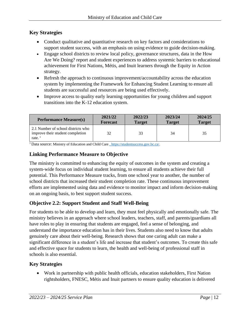#### **Key Strategies**

- Conduct qualitative and quantitative research on key factors and considerations to support student success, with an emphasis on using evidence to guide decision-making.
- Engage school districts to review local policy, governance structures, data in the How Are We Doing? report and student experiences to address systemic barriers to educational achievement for First Nations, Métis, and Inuit learners through the Equity in Action strategy.
- Refresh the approach to continuous improvement/accountability across the education system by implementing the Framework for Enhancing Student Learning to ensure all students are successful and resources are being used effectively.
- Improve access to quality early learning opportunities for young children and support transitions into the K-12 education system.

| <b>Performance Measure(s)</b>                                                                            | 2021/22         | 2022/23       | 2023/24       | 2024/25       |
|----------------------------------------------------------------------------------------------------------|-----------------|---------------|---------------|---------------|
|                                                                                                          | <b>Forecast</b> | <b>Target</b> | <b>Target</b> | <b>Target</b> |
| 2.1 Number of school districts who<br>improve their student completion<br>rate. $\overline{\phantom{a}}$ | 32              | 33            | 34            | 35            |

<sup>1</sup>Data source: Ministry of Education and Child Care [, https://studentsuccess.gov.bc.ca/.](file:///C:/Users/KRYSMITH/AppData/Local/Microsoft/Windows/INetCache/Content.Outlook/IQ8UWBOA/,%20https:/studentsuccess.gov.bc.ca/)

#### **Linking Performance Measure to Objective**

The ministry is committed to enhancing the equity of outcomes in the system and creating a system-wide focus on individual student learning, to ensure all students achieve their full potential. This Performance Measure tracks, from one school year to another, the number of school districts that increased their student completion rate. These continuous improvement efforts are implemented using data and evidence to monitor impact and inform decision-making on an ongoing basis, to best support student success.

#### **Objective 2.2: Support Student and Staff Well-Being**

For students to be able to develop and learn, they must feel physically and emotionally safe. The ministry believes in an approach where school leaders, teachers, staff, and parents/guardians all have roles to play in ensuring that students are engaged, feel a sense of belonging, and understand the importance education has in their lives. Students also need to know that adults genuinely care about their well-being. Research shows that one caring adult can make a significant difference in a student's life and increase that student's outcomes. To create this safe and effective space for students to learn, the health and well-being of professional staff in schools is also essential.

#### **Key Strategies**

• Work in partnership with public health officials, education stakeholders, First Nation rightsholders, FNESC, Métis and Inuit partners to ensure quality education is delivered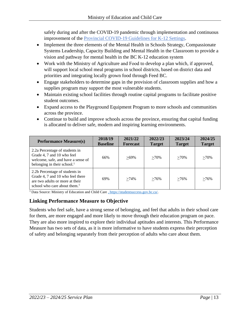safely during and after the COVID-19 pandemic through implementation and continuous improvement of the Provincial COVID-19 [Guidelines for K-12 Settings.](https://www2.gov.bc.ca/assets/gov/education/administration/kindergarten-to-grade-12/safe-caring-orderly/k-12-covid-19-health-safety-guidlines.pdf)

- Implement the three elements of the Mental Health in Schools Strategy, Compassionate Systems Leadership, Capacity Building and Mental Health in the Classroom to provide a vision and pathway for mental health in the BC K-12 education system
- Work with the Ministry of Agriculture and Food to develop a plan which, if approved, will support local school meal programs in school districts, based on district data and priorities and integrating locally grown food through Feed BC.
- Engage stakeholders to determine gaps in the provision of classroom supplies and how a supplies program may support the most vulnerable students.
- Maintain existing school facilities through routine capital programs to facilitate positive student outcomes.
- Expand access to the Playground Equipment Program to more schools and communities across the province.
- Continue to build and improve schools across the province, ensuring that capital funding is allocated to deliver safe, modern and inspiring learning environments.

| <b>Performance Measure(s)</b>                                                                                                            | 2018/19<br><b>Baseline</b> | 2021/22<br><b>Forecast</b> | 2022/23<br><b>Target</b> | 2023/24<br><b>Target</b> | 2024/25<br><b>Target</b> |
|------------------------------------------------------------------------------------------------------------------------------------------|----------------------------|----------------------------|--------------------------|--------------------------|--------------------------|
| 2.2a Percentage of students in<br>Grade 4, 7 and 10 who feel<br>welcome, safe, and have a sense of<br>belonging in their school. $1$     | 66%                        | $>69\%$                    | $>70\%$                  | $>70\%$                  | $>70\%$                  |
| 2.2b Percentage of students in<br>Grade 4, 7 and 10 who feel there<br>are two adults or more at their<br>school who care about them. $1$ | 69%                        | $>74\%$                    | $>76\%$                  | $>76\%$                  | $>76\%$                  |

<sup>1</sup> Data Source: Ministry of Education and Child Care [, https://studentsuccess.gov.bc.ca/.](file:///C:/Users/KRYSMITH/AppData/Local/Microsoft/Windows/INetCache/Content.Outlook/IQ8UWBOA/,%20https:/studentsuccess.gov.bc.ca/)

#### **Linking Performance Measure to Objective**

Students who feel safe, have a strong sense of belonging, and feel that adults in their school care for them, are more engaged and more likely to move through their education program on pace. They are also more inspired to explore their individual aptitudes and interests. This Performance Measure has two sets of data, as it is more informative to have students express their perception of safety and belonging separately from their perception of adults who care about them.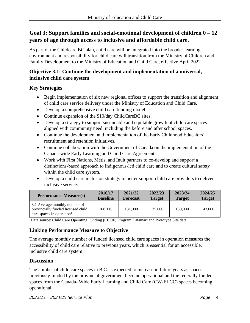#### **Goal 3: Support families and social-emotional development of children 0 – 12 years of age through access to inclusive and affordable child care.**

As part of the Childcare BC plan, child care will be integrated into the broader learning environment and responsibility for child care will transition from the Ministry of Children and Family Development to the Ministry of Education and Child Care, effective April 2022.

#### **Objective 3.1: Continue the development and implementation of a universal, inclusive child care system**

#### **Key Strategies**

- Begin implementation of six new regional offices to support the transition and alignment of child care service delivery under the Ministry of Education and Child Care.
- Develop a comprehensive child care funding model.
- Continue expansion of the \$10/day ChildCareBC sites.
- Develop a strategy to support sustainable and equitable growth of child care spaces aligned with community need, including the before and after school spaces.
- Continue the development and implementation of the Early Childhood Educators' recruitment and retention initiatives.
- Continue collaboration with the Government of Canada on the implementation of the Canada-wide Early Learning and Child Care Agreement.
- Work with First Nations, Métis, and Inuit partners to co-develop and support a distinctions-based approach to Indigenous-led child care and to create cultural safety within the child care system.
- Develop a child care inclusion strategy to better support child care providers to deliver inclusive service.

| <b>Performance Measure(s)</b>                                                                                | 2016/17         | 2021/22         | 2022/23       | 2023/24       | 2024/25       |
|--------------------------------------------------------------------------------------------------------------|-----------------|-----------------|---------------|---------------|---------------|
|                                                                                                              | <b>Baseline</b> | <b>Forecast</b> | <b>Target</b> | <b>Target</b> | <b>Target</b> |
| 3.1 Average monthly number of<br>provincially funded licensed child<br>care spaces in operation <sup>1</sup> | 108.110         | 131,000         | 135,000       | 139,000       | 143,000       |

<sup>1</sup>Data source: Child Care Operating Funding (CCOF) Program Datamart and Prototype Site data

#### **Linking Performance Measure to Objective**

The average monthly number of funded licensed child care spaces in operation measures the accessibility of child care relative to previous years, which is essential for an accessible, inclusive child care system

#### **Discussion**

The number of child care spaces in B.C. is expected to increase in future years as spaces previously funded by the provincial government become operational and the federally funded spaces from the Canada- Wide Early Learning and Child Care (CW-ELCC) spaces becoming operational.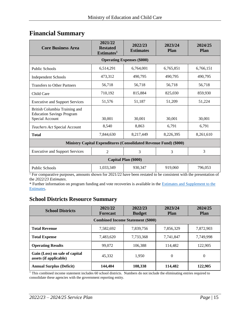## <span id="page-14-0"></span>**Financial Summary**

| <b>Core Business Area</b>                                         | 2021/22<br><b>Restated</b><br>Estimates <sup>1</sup> | 2022/23<br><b>Estimates</b> | 2023/24<br><b>Plan</b> | 2024/25<br><b>Plan</b> |  |  |  |  |
|-------------------------------------------------------------------|------------------------------------------------------|-----------------------------|------------------------|------------------------|--|--|--|--|
| <b>Operating Expenses (\$000)</b>                                 |                                                      |                             |                        |                        |  |  |  |  |
| <b>Public Schools</b>                                             | 6,514,291                                            | 6,764,001                   | 6,765,851              | 6,766,151              |  |  |  |  |
| <b>Independent Schools</b>                                        | 473,312                                              | 490,795                     | 490,795                | 490,795                |  |  |  |  |
| <b>Transfers to Other Partners</b>                                | 56,718                                               | 56,718                      | 56,718                 | 56,718                 |  |  |  |  |
| Child Care                                                        | 710,192                                              | 815,884                     | 825,030                | 859,930                |  |  |  |  |
| <b>Executive and Support Services</b>                             | 51,576                                               | 51,187                      | 51,209                 | 51,224                 |  |  |  |  |
| British Columbia Training and<br><b>Education Savings Program</b> |                                                      |                             |                        |                        |  |  |  |  |
| Special Account                                                   | 30,001                                               | 30,001                      | 30,001                 | 30,001                 |  |  |  |  |
| Teachers Act Special Account                                      | 8,540                                                | 8,863                       | 6,791                  | 6,791                  |  |  |  |  |
| <b>Total</b>                                                      | 7,844,630                                            | 8,217,449                   | 8,226,395              | 8,261,610              |  |  |  |  |
| Ministry Capital Expenditures (Consolidated Revenue Fund) (\$000) |                                                      |                             |                        |                        |  |  |  |  |
| <b>Executive and Support Services</b>                             | $\overline{2}$                                       | 3                           | 3                      | 3                      |  |  |  |  |
|                                                                   |                                                      | <b>Capital Plan (\$000)</b> |                        |                        |  |  |  |  |
| <b>Public Schools</b>                                             | 1,033,349                                            | 930.347                     | 919.060                | 796.053                |  |  |  |  |

<sup>1</sup> For comparative purposes, amounts shown for 2021/22 have been restated to be consistent with the presentation of the *2022/23 Estimates*.

\* Further information on program funding and vote recoveries is available in the [Estimates and Supplement to the](http://www.bcbudget.gov.bc.ca/)  [Estimates.](http://www.bcbudget.gov.bc.ca/)

#### <span id="page-14-1"></span>**School Districts Resource Summary**

| <b>School Districts</b>                                  | 2021/22<br><b>Forecast</b> | 2022/23<br><b>Budget</b> | 2023/24<br><b>Plan</b> | 2024/25<br><b>Plan</b> |  |  |  |
|----------------------------------------------------------|----------------------------|--------------------------|------------------------|------------------------|--|--|--|
| <b>Combined Income Statement (\$000)</b>                 |                            |                          |                        |                        |  |  |  |
| <b>Total Revenue</b>                                     | 7,582,692                  | 7,839,756                | 7,856,329              | 7,872,903              |  |  |  |
| <b>Total Expense</b>                                     | 7,483,620                  | 7,733,368                | 7.741.847              | 7.749.998              |  |  |  |
| <b>Operating Results</b>                                 | 99,072                     | 106.388                  | 114,482                | 122,905                |  |  |  |
| Gain (Loss) on sale of capital<br>assets (if applicable) | 45,332                     | 1.950                    | $\Omega$               | $\theta$               |  |  |  |
| <b>Annual Surplus (Deficit)</b>                          | 144,404                    | 108,338                  | 114,482                | 122.905                |  |  |  |

<sup>1</sup> This combined income statement includes 60 school districts. Numbers do not include the eliminating entries required to consolidate these agencies with the government reporting entity.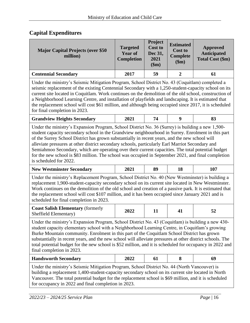#### **Capital Expenditures**

| <b>Major Capital Projects (over \$50)</b><br>million) | <b>Targeted</b><br><b>Year of</b><br><b>Completion</b> | Project<br><b>Cost to</b><br>Dec 31,<br>2021<br>\$m\$ | <b>Estimated</b><br><b>Cost to</b><br><b>Complete</b><br>\$m\$ | Approved<br>Anticipated<br><b>Total Cost (\$m)</b> |
|-------------------------------------------------------|--------------------------------------------------------|-------------------------------------------------------|----------------------------------------------------------------|----------------------------------------------------|
| <b>Centennial Secondary</b>                           | 2017                                                   | 59                                                    |                                                                | 61                                                 |

Under the ministry's Seismic Mitigation Program, School District No. 43 (Coquitlam) completed a seismic replacement of the existing Centennial Secondary with a 1,250-student-capacity school on its current site located in Coquitlam. Work continues on the demolition of the old school, construction of a Neighborhood Learning Centre, and installation of playfields and landscaping. It is estimated that the replacement school will cost \$61 million, and although being occupied since 2017, it is scheduled for final completion in 2023.

| <b>Grandview Heights Secondary</b> |  |  |
|------------------------------------|--|--|
|                                    |  |  |

Under the ministry's Expansion Program, School District No. 36 (Surrey) is building a new 1,500 student capacity secondary school in the Grandview neighbourhood in Surrey. Enrolment in this part of the Surrey School District has grown substantially in recent years, and the new school will alleviate pressures at other district secondary schools, particularly Earl Marriot Secondary and Semiahmoo Secondary, which are operating over their current capacities. The total potential budget for the new school is \$83 million. The school was occupied in September 2021, and final completion is scheduled for 2022.

| <b>New Westminster Secondary</b> | 2021 | 89 | 18 | 107 |  |
|----------------------------------|------|----|----|-----|--|
|----------------------------------|------|----|----|-----|--|

Under the ministry's Replacement Program, School District No. 40 (New Westminster) is building a replacement 1,900-student-capacity secondary school on its current site located in New Westminster. Work continues on the demolition of the old school and creation of a passive park. It is estimated that the replacement school will cost \$107 million, and it has been occupied since January 2021 and is scheduled for final completion in 2023.

| <b>Coast Salish Elementary (formerly)</b> | 2022 |  |  |
|-------------------------------------------|------|--|--|
| Sheffield Elementary)                     |      |  |  |

Under the ministry's Expansion Program, School District No. 43 (Coquitlam) is building a new 430 student capacity elementary school with a Neighborhood Learning Centre, in Coquitlam's growing Burke Mountain community. Enrolment in this part of the Coquitlam School District has grown substantially in recent years, and the new school will alleviate pressures at other district schools. The total potential budget for the new school is \$52 million, and it is scheduled for occupancy in 2022 and final completion in 2023.

| <b>Handsworth Secondary</b> | 2022 |  |  |  |
|-----------------------------|------|--|--|--|
|-----------------------------|------|--|--|--|

Under the ministry's Seismic Mitigation Program, School District No. 44 (North Vancouver) is building a replacement 1,400-student-capacity secondary school on its current site located in North Vancouver. The total potential budget for the replacement school is \$69 million, and it is scheduled for occupancy in 2022 and final completion in 2023.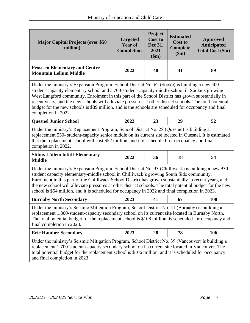| <b>Major Capital Projects (over \$50</b><br>million)                                                                                                                                                                                                                                                                                                                                                                                                                                                                                             | <b>Targeted</b><br><b>Year of</b><br><b>Completion</b> | Project<br><b>Cost to</b><br>Dec 31,<br>2021<br>\$m\$ | <b>Estimated</b><br><b>Cost to</b><br><b>Complete</b><br>\$m) | <b>Approved</b><br><b>Anticipated</b><br><b>Total Cost (\$m)</b> |
|--------------------------------------------------------------------------------------------------------------------------------------------------------------------------------------------------------------------------------------------------------------------------------------------------------------------------------------------------------------------------------------------------------------------------------------------------------------------------------------------------------------------------------------------------|--------------------------------------------------------|-------------------------------------------------------|---------------------------------------------------------------|------------------------------------------------------------------|
| <b>Pexsisen Elementary and Centre</b><br><b>Mountain Lellum Middle</b>                                                                                                                                                                                                                                                                                                                                                                                                                                                                           | 2022                                                   | 48                                                    | 41                                                            | 89                                                               |
| Under the ministry's Expansion Program, School District No. 62 (Sooke) is building a new 500-<br>student-capacity elementary school and a 700-student-capacity middle school in Sooke's growing<br>West Langford community. Enrolment in this part of the School District has grown substantially in<br>recent years, and the new schools will alleviate pressures at other district schools. The total potential<br>budget for the new schools is \$89 million, and is the schools are scheduled for occupancy and final<br>completion in 2022. |                                                        |                                                       |                                                               |                                                                  |
| <b>Quesnel Junior School</b>                                                                                                                                                                                                                                                                                                                                                                                                                                                                                                                     | 2022                                                   | 23                                                    | 29                                                            | 52                                                               |
| Under the ministry's Replacement Program, School District No. 28 (Quesnel) is building a<br>replacement 550- student-capacity senior middle on its current site located in Quesnel. It is estimated<br>that the replacement school will cost \$52 million, and it is scheduled for occupancy and final<br>completion in 2022.                                                                                                                                                                                                                    |                                                        |                                                       |                                                               |                                                                  |
| Stitó:s Lá:lém totí:lt Elementary<br><b>Middle</b>                                                                                                                                                                                                                                                                                                                                                                                                                                                                                               | 2022                                                   | 36                                                    | 18                                                            | 54                                                               |
| Under the ministry's Expansion Program, School District No. 33 (Chilliwack) is building a new 930-<br>student capacity elementary-middle school in Chilliwack's growing South Side community.<br>Enrolment in this part of the Chilliwack School District has grown substantially in recent years, and<br>the new school will alleviate pressures at other district schools. The total potential budget for the new<br>school is \$54 million, and it is scheduled for occupancy in 2022 and final completion in 2023.                           |                                                        |                                                       |                                                               |                                                                  |
| <b>Burnaby North Secondary</b>                                                                                                                                                                                                                                                                                                                                                                                                                                                                                                                   | 2023                                                   | 41                                                    | 67                                                            | 108                                                              |
| Under the ministry's Seismic Mitigation Program, School District No. 41 (Burnaby) is building a<br>replacement 1,800-student-capacity secondary school on its current site located in Burnaby North.<br>The total potential budget for the replacement school is \$108 million, is scheduled for occupancy and<br>final completion in 2023.                                                                                                                                                                                                      |                                                        |                                                       |                                                               |                                                                  |
| <b>Eric Hamber Secondary</b>                                                                                                                                                                                                                                                                                                                                                                                                                                                                                                                     | 2023                                                   | 28                                                    | 78                                                            | 106                                                              |
| Under the ministry's Seismic Mitigation Program, School District No. 39 (Vancouver) is building a<br>replacement 1,700-student-capacity secondary school on its current site located in Vancouver. The<br>total potential budget for the replacement school is \$106 million, and it is scheduled for occupancy<br>and final completion in 2023.                                                                                                                                                                                                 |                                                        |                                                       |                                                               |                                                                  |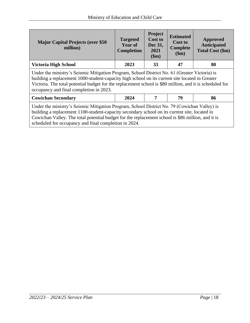| <b>Major Capital Projects (over \$50)</b><br>million)                                                                                                                                                                                                                                                                                                       | <b>Targeted</b><br><b>Year of</b><br><b>Completion</b> | Project<br><b>Cost to</b><br>Dec 31,<br>2021<br>\$m\$ | <b>Estimated</b><br><b>Cost to</b><br><b>Complete</b><br>\$m\$ | Approved<br><b>Anticipated</b><br>Total Cost (\$m) |
|-------------------------------------------------------------------------------------------------------------------------------------------------------------------------------------------------------------------------------------------------------------------------------------------------------------------------------------------------------------|--------------------------------------------------------|-------------------------------------------------------|----------------------------------------------------------------|----------------------------------------------------|
| <b>Victoria High School</b>                                                                                                                                                                                                                                                                                                                                 | 2023                                                   | 33                                                    | 47                                                             | 80                                                 |
| Under the ministry's Seismic Mitigation Program, School District No. 61 (Greater Victoria) is<br>building a replacement 1000-student-capacity high school on its current site located in Greater<br>Victoria. The total potential budget for the replacement school is \$80 million, and it is scheduled for<br>occupancy and final completion in 2023.     |                                                        |                                                       |                                                                |                                                    |
| <b>Cowichan Secondary</b>                                                                                                                                                                                                                                                                                                                                   | 2024                                                   | 7                                                     | 79                                                             | 86                                                 |
| Under the ministry's Seismic Mitigation Program, School District No. 79 (Cowichan Valley) is<br>building a replacement 1100-student-capacity secondary school on its current site, located in<br>Cowichan Valley. The total potential budget for the replacement school is \$86 million, and it is<br>scheduled for occupancy and final completion in 2024. |                                                        |                                                       |                                                                |                                                    |